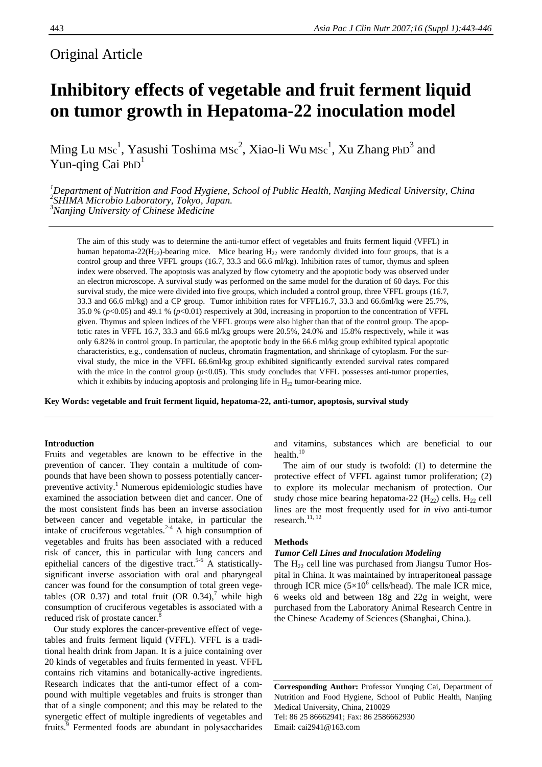# Original Article

# **Inhibitory effects of vegetable and fruit ferment liquid on tumor growth in Hepatoma-22 inoculation model**

Ming Lu MSc<sup>1</sup>, Yasushi Toshima MSc<sup>2</sup>, Xiao-li Wu MSc<sup>1</sup>, Xu Zhang PhD<sup>3</sup> and Yun-qing Cai  $PhD<sup>1</sup>$ 

<sup>1</sup>Department of Nutrition and Food Hygiene, School of Public Health, Nanjing Medical University, China<br><sup>2</sup>SHIMA Microbio Laboratory, Tokyo, Japan. *3 Nanjing University of Chinese Medicine* 

The aim of this study was to determine the anti-tumor effect of vegetables and fruits ferment liquid (VFFL) in human hepatoma-22( $H_{22}$ )-bearing mice. Mice bearing  $H_{22}$  were randomly divided into four groups, that is a control group and three VFFL groups (16.7, 33.3 and 66.6 ml/kg). Inhibition rates of tumor, thymus and spleen index were observed. The apoptosis was analyzed by flow cytometry and the apoptotic body was observed under an electron microscope. A survival study was performed on the same model for the duration of 60 days. For this survival study, the mice were divided into five groups, which included a control group, three VFFL groups (16.7, 33.3 and 66.6 ml/kg) and a CP group. Tumor inhibition rates for VFFL16.7, 33.3 and 66.6ml/kg were 25.7%, 35.0 % (*p*<0.05) and 49.1 % (*p*<0.01) respectively at 30d, increasing in proportion to the concentration of VFFL given. Thymus and spleen indices of the VFFL groups were also higher than that of the control group. The apoptotic rates in VFFL 16.7, 33.3 and 66.6 ml/kg groups were 20.5%, 24.0% and 15.8% respectively, while it was only 6.82% in control group. In particular, the apoptotic body in the 66.6 ml/kg group exhibited typical apoptotic characteristics, e.g., condensation of nucleus, chromatin fragmentation, and shrinkage of cytoplasm. For the survival study, the mice in the VFFL 66.6ml/kg group exhibited significantly extended survival rates compared with the mice in the control group  $(p<0.05)$ . This study concludes that VFFL possesses anti-tumor properties, which it exhibits by inducing apoptosis and prolonging life in  $H_{22}$  tumor-bearing mice.

**Key Words: vegetable and fruit ferment liquid, hepatoma-22, anti-tumor, apoptosis, survival study** 

# **Introduction**

Fruits and vegetables are known to be effective in the prevention of cancer. They contain a multitude of compounds that have been shown to possess potentially cancerpreventive activity.<sup>1</sup> Numerous epidemiologic studies have examined the association between diet and cancer. One of the most consistent finds has been an inverse association between cancer and vegetable intake, in particular the intake of cruciferous vegetables.<sup>2-4</sup> A high consumption of vegetables and fruits has been associated with a reduced risk of cancer, this in particular with lung cancers and epithelial cancers of the digestive tract.<sup>5-6</sup> A statisticallysignificant inverse association with oral and pharyngeal cancer was found for the consumption of total green vegetables (OR 0.37) and total fruit (OR 0.34),<sup>7</sup> while high consumption of cruciferous vegetables is associated with a reduced risk of prostate cancer.<sup>8</sup>

 Our study explores the cancer-preventive effect of vegetables and fruits ferment liquid (VFFL). VFFL is a traditional health drink from Japan. It is a juice containing over 20 kinds of vegetables and fruits fermented in yeast. VFFL contains rich vitamins and botanically-active ingredients. Research indicates that the anti-tumor effect of a compound with multiple vegetables and fruits is stronger than that of a single component; and this may be related to the synergetic effect of multiple ingredients of vegetables and fruits.<sup>9</sup> Fermented foods are abundant in polysaccharides

and vitamins, substances which are beneficial to our health.<sup>10</sup>

 The aim of our study is twofold: (1) to determine the protective effect of VFFL against tumor proliferation; (2) to explore its molecular mechanism of protection. Our study chose mice bearing hepatoma-22  $(H_{22})$  cells.  $H_{22}$  cell lines are the most frequently used for *in vivo* anti-tumor research. $^{11, 12}$ 

# **Methods**

#### *Tumor Cell Lines and Inoculation Modeling*

The  $H_{22}$  cell line was purchased from Jiangsu Tumor Hospital in China. It was maintained by intraperitoneal passage through ICR mice  $(5\times10^6 \text{ cells/head})$ . The male ICR mice, 6 weeks old and between 18g and 22g in weight, were purchased from the Laboratory Animal Research Centre in the Chinese Academy of Sciences (Shanghai, China.).

**Corresponding Author:** Professor Yunqing Cai, Department of Nutrition and Food Hygiene, School of Public Health, Nanjing Medical University, China, 210029 Tel: 86 25 86662941; Fax: 86 2586662930 Email: cai2941@163.com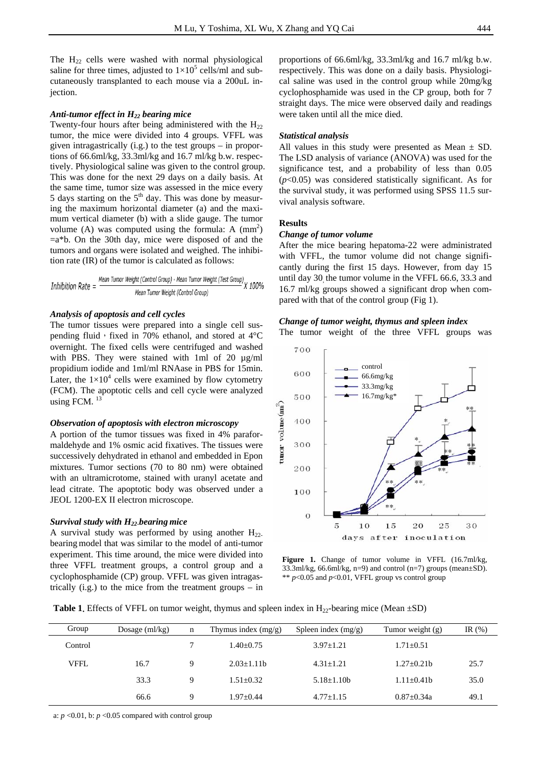The  $H_{22}$  cells were washed with normal physiological saline for three times, adjusted to  $1 \times 10^5$  cells/ml and subcutaneously transplanted to each mouse via a 200uL injection.

# *Anti-tumor effect in H22 bearing mice*

Twenty-four hours after being administered with the  $H_{22}$ tumor, the mice were divided into 4 groups. VFFL was given intragastrically (i.g.) to the test groups – in proportions of 66.6ml/kg, 33.3ml/kg and 16.7 ml/kg b.w. respectively. Physiological saline was given to the control group. This was done for the next 29 days on a daily basis. At the same time, tumor size was assessed in the mice every 5 days starting on the  $5<sup>th</sup>$  day. This was done by measuring the maximum horizontal diameter (a) and the maximum vertical diameter (b) with a slide gauge. The tumor volume  $(A)$  was computed using the formula: A  $(nm<sup>2</sup>)$  $=a<sup>*</sup>b$ . On the 30th day, mice were disposed of and the tumors and organs were isolated and weighed. The inhibition rate (IR) of the tumor is calculated as follows:

Inhibition Rate = 
$$
\frac{Mean\;Tumor\;Weight\;(Control\;Group) - Mean\;Tumor\;Weight\;(Test\;Group)}{Mean\;Tumor\;Weight\;(Control\;Group)}
$$

#### *Analysis of apoptosis and cell cycles*

The tumor tissues were prepared into a single cell suspending fluid, fixed in 70% ethanol, and stored at  $4^{\circ}$ C overnight. The fixed cells were centrifuged and washed with PBS. They were stained with 1ml of 20  $\mu$ g/ml propidium iodide and 1ml/ml RNAase in PBS for 15min. Later, the  $1\times10^4$  cells were examined by flow cytometry (FCM). The apoptotic cells and cell cycle were analyzed using FCM. $^{13}$ 

# *Observation of apoptosis with electron microscopy*

A portion of the tumor tissues was fixed in 4% paraformaldehyde and 1% osmic acid fixatives. The tissues were successively dehydrated in ethanol and embedded in Epon mixtures. Tumor sections (70 to 80 nm) were obtained with an ultramicrotome, stained with uranyl acetate and lead citrate. The apoptotic body was observed under a JEOL 1200-EX II electron microscope.

# *Survival study with H22-bearing mice*

A survival study was performed by using another  $H_{22}$ . bearing model that was similar to the model of anti-tumor experiment. This time around, the mice were divided into three VFFL treatment groups, a control group and a cyclophosphamide (CP) group. VFFL was given intragastrically  $(i.g.)$  to the mice from the treatment groups – in proportions of 66.6ml/kg, 33.3ml/kg and 16.7 ml/kg b.w. respectively. This was done on a daily basis. Physiological saline was used in the control group while 20mg/kg cyclophosphamide was used in the CP group, both for 7 straight days. The mice were observed daily and readings were taken until all the mice died.

# *Statistical analysis*

All values in this study were presented as Mean  $\pm$  SD. The LSD analysis of variance (ANOVA) was used for the significance test, and a probability of less than 0.05 (*p*<0.05) was considered statistically significant. As for the survival study, it was performed using SPSS 11.5 survival analysis software.

# **Results**

#### *Change of tumor volume*

After the mice bearing hepatoma-22 were administrated with VFFL, the tumor volume did not change significantly during the first 15 days. However, from day 15 until day 30, the tumor volume in the VFFL 66.6, 33.3 and 16.7 ml/kg groups showed a significant drop when compared with that of the control group (Fig 1).

#### *Change of tumor weight, thymus and spleen index*  The tumor weight of the three VFFL groups was



Figure 1. Change of tumor volume in VFFL (16.7ml/kg, 33.3ml/kg, 66.6ml/kg, n=9) and control (n=7) groups (mean $\pm$ SD). \*\* *p*<0.05 and *p*<0.01, VFFL group vs control group

**Table 1.** Effects of VFFL on tumor weight, thymus and spleen index in  $H_{22}$ -bearing mice (Mean  $\pm$ SD)

| Group   | Dosage $(ml/kg)$ | n | Thymus index $(mg/g)$ | Spleen index $(mg/g)$ | Tumor weight (g) | IR $(\%)$ |
|---------|------------------|---|-----------------------|-----------------------|------------------|-----------|
| Control |                  |   | $1.40 + 0.75$         | $3.97 + 1.21$         | $1.71 + 0.51$    |           |
| VFFL    | 16.7             | 9 | $2.03 + 1.11b$        | $4.31 + 1.21$         | $1.27 + 0.21h$   | 25.7      |
|         | 33.3             | 9 | $1.51 + 0.32$         | $5.18 + 1.10b$        | $1.11+0.41b$     | 35.0      |
|         | 66.6             | Q | $1.97 + 0.44$         | $4.77 + 1.15$         | $0.87 + 0.34a$   | 49.1      |
|         |                  |   |                       |                       |                  |           |

a:  $p \le 0.01$ , b:  $p \le 0.05$  compared with control group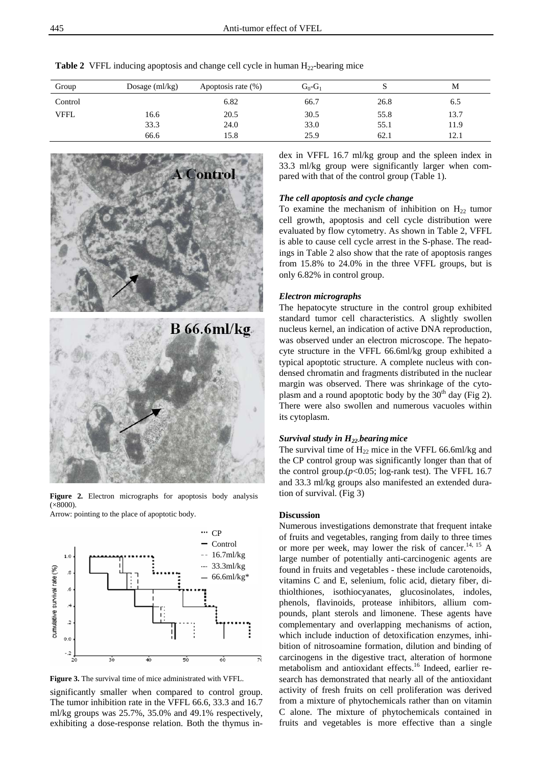| Group       | Dosage $(ml/kg)$ | Apoptosis rate (%) | $G_0$ - $G_1$ |      | М    |
|-------------|------------------|--------------------|---------------|------|------|
| Control     |                  | 6.82               | 66.7          | 26.8 | 6.5  |
| <b>VFFL</b> | 16.6             | 20.5               | 30.5          | 55.8 | 13.7 |
|             | 33.3             | 24.0               | 33.0          | 55.1 | 11.9 |
|             | 66.6             | 15.8               | 25.9          | 62.1 | 12.1 |

**Table 2** VFFL inducing apoptosis and change cell cycle in human  $H_{22}$ -bearing mice



Figure 2. Electron micrographs for apoptosis body analysis  $(x8000)$ 

Arrow: pointing to the place of apoptotic body.





significantly smaller when compared to control group. The tumor inhibition rate in the VFFL 66.6, 33.3 and 16.7 ml/kg groups was 25.7%, 35.0% and 49.1% respectively, exhibiting a dose-response relation. Both the thymus index in VFFL 16.7 ml/kg group and the spleen index in 33.3 ml/kg group were significantly larger when compared with that of the control group (Table 1).

#### *The cell apoptosis and cycle change*

To examine the mechanism of inhibition on  $H_{22}$  tumor cell growth, apoptosis and cell cycle distribution were evaluated by flow cytometry. As shown in Table 2, VFFL is able to cause cell cycle arrest in the S-phase. The readings in Table 2 also show that the rate of apoptosis ranges from 15.8% to 24.0% in the three VFFL groups, but is only 6.82% in control group.

# *Electron micrographs*

The hepatocyte structure in the control group exhibited standard tumor cell characteristics. A slightly swollen nucleus kernel, an indication of active DNA reproduction, was observed under an electron microscope. The hepatocyte structure in the VFFL 66.6ml/kg group exhibited a typical apoptotic structure. A complete nucleus with condensed chromatin and fragments distributed in the nuclear margin was observed. There was shrinkage of the cytoplasm and a round apoptotic body by the  $30<sup>th</sup>$  day (Fig 2). There were also swollen and numerous vacuoles within its cytoplasm.

#### *Survival study in H22-bearing mice*

The survival time of  $H_{22}$  mice in the VFFL 66.6ml/kg and the CP control group was significantly longer than that of the control group.(*p*<0.05; log-rank test). The VFFL 16.7 and 33.3 ml/kg groups also manifested an extended duration of survival. (Fig 3)

# **Discussion**

Numerous investigations demonstrate that frequent intake of fruits and vegetables, ranging from daily to three times or more per week, may lower the risk of cancer.<sup>14, 15</sup> A large number of potentially anti-carcinogenic agents are found in fruits and vegetables - these include carotenoids, vitamins C and E, selenium, folic acid, dietary fiber, dithiolthiones, isothiocyanates, glucosinolates, indoles, phenols, flavinoids, protease inhibitors, allium compounds, plant sterols and limonene. These agents have complementary and overlapping mechanisms of action, which include induction of detoxification enzymes, inhibition of nitrosoamine formation, dilution and binding of carcinogens in the digestive tract, alteration of hormone metabolism and antioxidant effects.<sup>16</sup> Indeed, earlier research has demonstrated that nearly all of the antioxidant activity of fresh fruits on cell proliferation was derived from a mixture of phytochemicals rather than on vitamin C alone. The mixture of phytochemicals contained in fruits and vegetables is more effective than a single